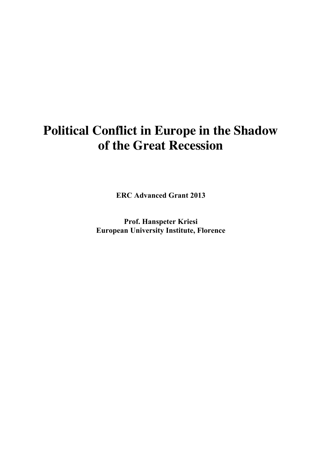# **Political Conflict in Europe in the Shadow of the Great Recession**

**ERC Advanced Grant 2013**

**Prof. Hanspeter Kriesi European University Institute, Florence**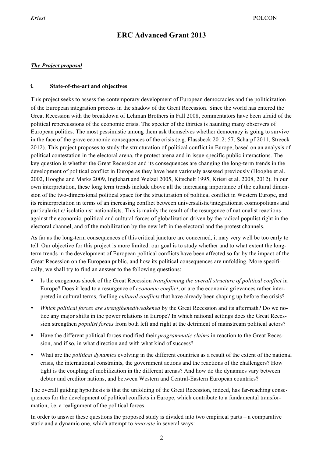# **ERC Advanced Grant 2013**

# *The Project proposal*

## **i. State-of-the-art and objectives**

This project seeks to assess the contemporary development of European democracies and the politicization of the European integration process in the shadow of the Great Recession. Since the world has entered the Great Recession with the breakdown of Lehman Brothers in Fall 2008, commentators have been afraid of the political repercussions of the economic crisis. The specter of the thirties is haunting many observers of European politics. The most pessimistic among them ask themselves whether democracy is going to survive in the face of the grave economic consequences of the crisis (e.g. Flassbeck 2012: 57, Scharpf 2011, Streeck 2012). This project proposes to study the structuration of political conflict in Europe, based on an analysis of political contestation in the electoral arena, the protest arena and in issue-specific public interactions. The key question is whether the Great Recession and its consequences are changing the long-term trends in the development of political conflict in Europe as they have been variously assessed previously (Hooghe et al. 2002, Hooghe and Marks 2009, Inglehart and Welzel 2005, Kitschelt 1995, Kriesi et al. 2008, 2012). In our own interpretation, these long term trends include above all the increasing importance of the cultural dimension of the two-dimensional political space for the structuration of political conflict in Western Europe, and its reinterpretation in terms of an increasing conflict between universalistic/integrationist cosmopolitans and particularistic/ isolationist nationalists. This is mainly the result of the resurgence of nationalist reactions against the economic, political and cultural forces of globalization driven by the radical populist right in the electoral channel, and of the mobilization by the new left in the electoral and the protest channels.

As far as the long-term consequences of this critical juncture are concerned, it may very well be too early to tell. Our objective for this project is more limited: our goal is to study whether and to what extent the longterm trends in the development of European political conflicts have been affected so far by the impact of the Great Recession on the European public, and how its political consequences are unfolding. More specifically, we shall try to find an answer to the following questions:

- Is the exogenous shock of the Great Recession *transforming the overall structure of political conflict* in Europe? Does it lead to a resurgence of *economic conflict*, or are the economic grievances rather interpreted in cultural terms, fuelling *cultural conflicts* that have already been shaping up before the crisis?
- *Which political forces are strengthened/weakened* by the Great Recession and its aftermath? Do we notice any major shifts in the power relations in Europe? In which national settings does the Great Recession strengthen *populist forces* from both left and right at the detriment of mainstream political actors?
- Have the different political forces modified their *programmatic claims* in reaction to the Great Recession, and if so, in what direction and with what kind of success?
- What are the *political dynamics* evolving in the different countries as a result of the extent of the national crisis, the international constraints, the government actions and the reactions of the challengers? How tight is the coupling of mobilization in the different arenas? And how do the dynamics vary between debtor and creditor nations, and between Western and Central-Eastern European countries?

The overall guiding hypothesis is that the unfolding of the Great Recession, indeed, has far-reaching consequences for the development of political conflicts in Europe, which contribute to a fundamental transformation, i.e. a realignment of the political forces.

In order to answer these questions the proposed study is divided into two empirical parts  $-$  a comparative static and a dynamic one, which attempt to *innovate* in several ways: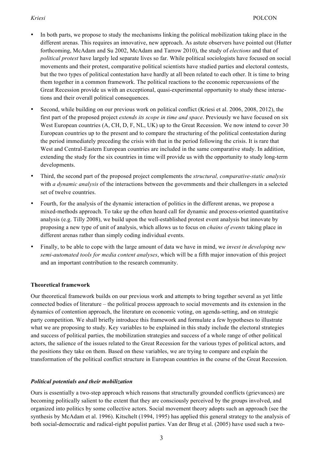- In both parts, we propose to study the mechanisms linking the political mobilization taking place in the different arenas. This requires an innovative, new approach. As astute observers have pointed out (Hutter forthcoming, McAdam and Su 2002, McAdam and Tarrow 2010), the study of *elections* and that of *political protest* have largely led separate lives so far. While political sociologists have focused on social movements and their protest, comparative political scientists have studied parties and electoral contests, but the two types of political contestation have hardly at all been related to each other. It is time to bring them together in a common framework. The political reactions to the economic repercussions of the Great Recession provide us with an exceptional, quasi-experimental opportunity to study these interactions and their overall political consequences.
- Second, while building on our previous work on political conflict (Kriesi et al. 2006, 2008, 2012), the first part of the proposed project *extends its scope in time and space*. Previously we have focused on six West European countries (A, CH, D, F, NL, UK) up to the Great Recession. We now intend to cover 30 European countries up to the present and to compare the structuring of the political contestation during the period immediately preceding the crisis with that in the period following the crisis. It is rare that West and Central-Eastern European countries are included in the same comparative study. In addition, extending the study for the six countries in time will provide us with the opportunity to study long-term developments.
- Third, the second part of the proposed project complements the *structural, comparative-static analysis* with *a dynamic analysis* of the interactions between the governments and their challengers in a selected set of twelve countries.
- Fourth, for the analysis of the dynamic interaction of politics in the different arenas, we propose a mixed-methods approach. To take up the often heard call for dynamic and process-oriented quantitative analysis (e.g. Tilly 2008), we build upon the well-established protest event analysis but innovate by proposing a new type of unit of analysis, which allows us to focus on *chains of events* taking place in different arenas rather than simply coding individual events.
- Finally, to be able to cope with the large amount of data we have in mind, we *invest in developing new semi-automated tools for media content analyses*, which will be a fifth major innovation of this project and an important contribution to the research community.

# **Theoretical framework**

Our theoretical framework builds on our previous work and attempts to bring together several as yet little connected bodies of literature – the political process approach to social movements and its extension in the dynamics of contention approach, the literature on economic voting, on agenda-setting, and on strategic party competition. We shall briefly introduce this framework and formulate a few hypotheses to illustrate what we are proposing to study. Key variables to be explained in this study include the electoral strategies and success of political parties, the mobilization strategies and success of a whole range of other political actors, the salience of the issues related to the Great Recession for the various types of political actors, and the positions they take on them. Based on these variables, we are trying to compare and explain the transformation of the political conflict structure in European countries in the course of the Great Recession.

# *Political potentials and their mobilization*

Ours is essentially a two-step approach which reasons that structurally grounded conflicts (grievances) are becoming politically salient to the extent that they are consciously perceived by the groups involved, and organized into politics by some collective actors. Social movement theory adopts such an approach (see the synthesis by McAdam et al. 1996). Kitschelt (1994, 1995) has applied this general strategy to the analysis of both social-democratic and radical-right populist parties. Van der Brug et al. (2005) have used such a two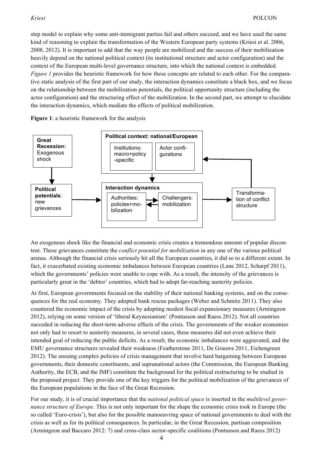step model to explain why some anti-immigrant parties fail and others succeed, and we have used the same kind of reasoning to explain the transformation of the Western European party systems (Kriesi et al. 2006, 2008, 2012). It is important to add that the way people are mobilized and the success of their mobilization heavily depend on the national political context (its institutional structure and actor configuration) and the context of the European multi-level governance structure, into which the national context is embedded. *Figure 1* provides the heuristic framework for how these concepts are related to each other. For the comparative static analysis of the first part of our study, the interaction dynamics constitute a black box, and we focus on the relationship between the mobilization potentials, the political opportunity structure (including the actor configuration) and the structuring effect of the mobilization. In the second part, we attempt to elucidate the interaction dynamics, which mediate the effects of political mobilization.

**Figure 1**: a heuristic framework for the analysis



An exogenous shock like the financial and economic crisis creates a tremendous amount of popular discontent. These grievances constitute the *conflict potential for mobilization* in any one of the various political arenas. Although the financial crisis seriously hit all the European countries, it did so to a different extent. In fact, it exacerbated existing economic imbalances between European countries (Lane 2012, Scharpf 2011), which the governments' policies were unable to cope with. As a result, the intensity of the grievances is particularly great in the 'debtor' countries, which had to adopt far-reaching austerity policies.

At first, European governments focused on the stability of their national banking systems, and on the consequences for the real economy. They adopted bank rescue packages (Weber and Schmitz 2011). They also countered the economic impact of the crisis by adopting modest fiscal expansionary measures (Armingeon 2012), relying on some version of 'liberal Keynesianism' (Pontusson and Raess 2012). Not all countries succeded in reducing the short-term adverse effects of the crisis. The governments of the weaker economies not only had to resort to austerity measures, in several cases, these measures did not even achieve their intended goal of reducing the public deficits. As a result, the economic imbalances were aggravated, and the EMU governance structures revealed their weakness (Featherstone 2011, De Grauwe 2011, Eichengreen 2012). The ensuing complex policies of crisis management that involve hard bargaining between European governments, their domestic constituents, and supranational actors (the Commission, the European Banking Authority, the ECB, and the IMF) constitute the background for the political restructuring to be studied in the proposed project. They provide one of the key triggers for the political mobilization of the grievances of the European populations in the face of the Great Recession.

For our study, it is of crucial importance that the *national political space* is inserted in the *multilevel governance structure of Europe*. This is not only important for the shape the economic crisis took in Europe (the so called 'Euro-crisis'), but also for the possible manoeuvring space of national governments to deal with the crisis as well as for its political consequences. In particular, in the Great Recession, partisan composition (Armingeon and Baccaro 2012: 7) and cross-class sector-specific coalitions (Pontusson and Raess 2012)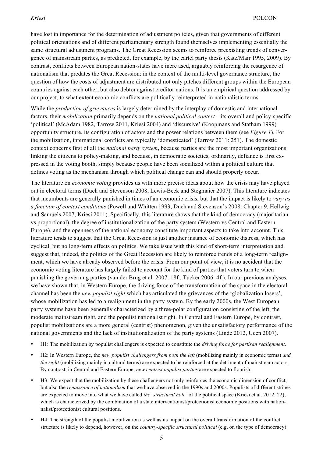have lost in importance for the determination of adjustment policies, given that governments of different political orientations and of different parliamentary strength found themselves implementing essentially the same structural adjustment programs. The Great Recession seems to reinforce preexisting trends of convergence of mainstream parties, as predicted, for example, by the cartel party thesis (Katz/Mair 1995, 2009). By contrast, conflicts between European nation-states have incre ased, arguably reinforcing the resurgence of nationalism that predates the Great Recession: in the context of the multi-level governance structure, the question of how the costs of adjustment are distributed not only pitches different groups within the European countries against each other, but also debtor against creditor nations. It is an empirical question addressed by our project, to what extent economic conflicts are politically reinterpreted in nationalistic terms.

While the *production of grievances* is largely determined by the interplay of domestic and international factors, their *mobilization* primarily depends on the *national political context* – its overall and policy-specific 'political' (McAdam 1982, Tarrow 2011, Kriesi 2004) and 'discursive' (Koopmans and Statham 1999) opportunity structure, its configuration of actors and the power relations between them (see *Figure 1*). For the mobilization, international conflicts are typically 'domesticated' (Tarrow 2011: 251). The domestic context concerns first of all the *national party system*, because parties are the most important organizations linking the citizens to policy-making, and because, in democratic societies, ordinarily, defiance is first expressed in the voting booth, simply because people have been socialized within a political culture that defines voting as the mechanism through which political change can and should properly occur.

The literature on *economic voting* provides us with more precise ideas about how the crisis may have played out in electoral terms (Duch and Stevenson 2008, Lewis-Beck and Stegmaier 2007). This literature indicates that incumbents are generally punished in times of an economic crisis, but that the impact is likely to *vary as a function of context conditions* (Powell and Whitten 1993; Duch and Stevenson's 2008: Chapter 9, Hellwig and Samuels 2007, Kriesi 2011). Specifically, this literature shows that the kind of democracy (majoritarian vs proportional), the degree of institutionalization of the party system (Western vs Central and Eastern Europe), and the openness of the national economy constitute important aspects to take into account. This literature tends to suggest that the Great Recession is just another instance of economic distress, which has cyclical, but no long-term effects on politics. We take issue with this kind of short-term interpretation and suggest that, indeed, the politics of the Great Recession are likely to reinforce trends of a long-term realignment, which we have already observed before the crisis. From our point of view, it is no accident that the economic voting literature has largely failed to account for the kind of parties that voters turn to when punishing the governing parties (van der Brug et al. 2007: 18f., Tucker 2006: 4f.). In our previous analyses, we have shown that, in Western Europe, the driving force of the transformation of the space in the electoral channel has been the *new populist right* which has articulated the grievances of the 'globalization losers', whose mobilization has led to a realignment in the party system. By the early 2000s, the West European party systems have been generally characterized by a three-polar configuration consisting of the left, the moderate mainstream right, and the populist nationalist right. In Central and Eastern Europe, by contrast, populist mobilizations are a more general (centrist) phenomenon, given the unsatisfactory performance of the national governments and the lack of institutionalization of the party systems (Linde 2012, Ucen 2007).

- H1: The mobilization by populist challengers is expected to constitute the *driving force for partisan realignment*.
- H2: In Western Europe, the *new populist challengers from both the left* (mobilizing mainly in economic terms) *and the right* (mobilizing mainly in cultural terms) are expected to be reinforced at the detriment of mainstream actors. By contrast, in Central and Eastern Europe, *new centrist populist parties* are expected to flourish.
- H3: We expect that the mobilization by these challengers not only reinforces the economic dimension of conflict, but also the *renaissance of nationalism* that we have observed in the 1990s and 2000s. Populists of different stripes are expected to move into what we have called *the 'structural hole'* of the political space (Kriesi et al. 2012: 22), which is characterized by the combination of a state interventionist/protectionist economic positions with nationnalist/protectionist cultural positions.
- H4: The strength of the populist mobilization as well as its impact on the overall transformation of the conflict structure is likely to depend, however, on the *country-specific structural political* (e.g. on the type of democracy)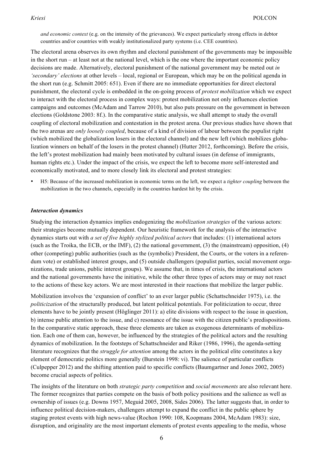*and economic context* (e.g. on the intensity of the grievances). We expect particularly strong effects in debtor countries and/or countries with weakly institutionalized party systems (i.e. CEE countries).

The electoral arena observes its own rhythm and electoral punishment of the governments may be impossible in the short run – at least not at the national level, which is the one where the important economic policy decisions are made. Alternatively, electoral punishment of the national government may be meted out *in 'secondary' elections* at other levels – local, regional or European, which may be on the political agenda in the short run (e.g. Schmitt 2005: 651). Even if there are no immediate opportunities for direct electoral punishment, the electoral cycle is embedded in the on-going process of *protest mobilization* which we expect to interact with the electoral process in complex ways: protest mobilization not only influences election campaigns and outcomes (McAdam and Tarrow 2010), but also puts pressure on the government in between elections (Goldstone 2003: 8f.). In the comparative static analysis, we shall attempt to study the overall coupling of electoral mobilization and contestation in the protest arena. Our previous studies have shown that the two arenas are *only loosely coupled*, because of a kind of division of labour between the populist right (which mobilized the globalization losers in the electoral channel) and the new left (which mobilizes globalization winners on behalf of the losers in the protest channel) (Hutter 2012, forthcoming). Before the crisis, the left's protest mobilization had mainly been motivated by cultural issues (in defense of immigrants, human rights etc.). Under the impact of the crisis, we expect the left to become more self-interested and economically motivated, and to more closely link its electoral and protest strategies:

• H5: Because of the increased mobilization in economic terms on the left, we expect a *tighter coupling* between the mobilization in the two channels, especially in the countries hardest hit by the crisis.

### *Interaction dynamics*

Studying the interaction dynamics implies endogenizing the *mobilization strategies* of the various actors: their strategies become mutually dependent. Our heuristic framework for the analysis of the interactive dynamics starts out with *a set of five highly stylized political actors* that includes: (1) international actors (such as the Troika, the ECB, or the IMF), (2) the national government, (3) the (mainstream) opposition, (4) other (competing) public authorities (such as the (symbolic) President, the Courts, or the voters in a referendum vote) or established interest groups, and (5) outside challengers (populist parties, social movement organizations, trade unions, public interest groups). We assume that, in times of crisis, the international actors and the national governments have the initiative, while the other three types of actors may or may not react to the actions of these key actors. We are most interested in their reactions that mobilize the larger public.

Mobilization involves the 'expansion of conflict' to an ever larger public (Schattschneider 1975), i.e. the *politicization* of the structurally produced, but latent political potentials. For politicization to occur, three elements have to be jointly present (Höglinger 2011): a) elite divisions with respect to the issue in question, b) intense public attention to the issue, and c) resonance of the issue with the citizen public's predispositions. In the comparative static approach, these three elements are taken as exogenous determinants of mobilization. Each one of them can, however, be influenced by the strategies of the political actors and the resulting dynamics of mobilization. In the footsteps of Schattschneider and Riker (1986, 1996), the agenda-setting literature recognizes that the *struggle for attention* among the actors in the political elite constitutes a key element of democratic politics more generally (Burstein 1998: vi). The salience of particular conflicts (Culpepper 2012) and the shifting attention paid to specific conflicts (Baumgartner and Jones 2002, 2005) become crucial aspects of politics.

The insights of the literature on both *strategic party competition* and *social movements* are also relevant here. The former recognizes that parties compete on the basis of both policy positions and the salience as well as ownership of issues (e.g. Downs 1957, Meguid 2005, 2008, Sides 2006). The latter suggests that, in order to influence political decision-makers, challengers attempt to expand the conflict in the public sphere by staging protest events with high news-value (Rochon 1990: 108, Koopmans 2004, McAdam 1983): size, disruption, and originality are the most important elements of protest events appealing to the media, whose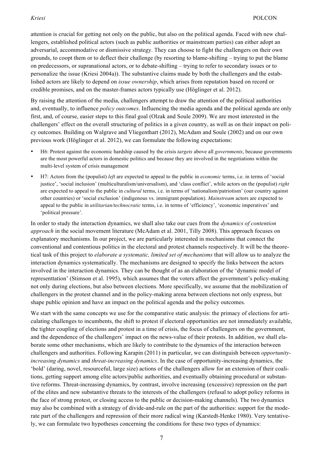attention is crucial for getting not only on the public, but also on the political agenda. Faced with new challengers, established political actors (such as public authorities or mainstream parties) can either adopt an adversarial, accommodative or dismissive strategy. They can choose to fight the challengers on their own grounds, to coopt them or to deflect their challenge (by resorting to blame-shifting – trying to put the blame on predecessors, or supranational actors, or to debate-shifting – trying to refer to secondary issues or to personalize the issue (Kriesi 2004a)). The substantive claims made by both the challengers and the established actors are likely to depend on *issue ownership*, which arises from reputation based on record or credible promises, and on the master-frames actors typically use (Höglinger et al. 2012).

By raising the attention of the media, challengers attempt to draw the attention of the political authorities and, eventually, to influence *policy outcomes*. Influencing the media agenda and the political agenda are only first, and, of course, easier steps to this final goal (Olzak and Soule 2009). We are most interested in the challengers' effect on the overall structuring of politics in a given country, as well as on their impact on policy outcomes. Building on Walgrave and Vliegenthart (2012), McAdam and Soule (2002) and on our own previous work (Höglinger et al. 2012), we can formulate the following expectations:

- H6: Protest against the economic hardship caused by the crisis *targets* above all *governments*, because governments are the most powerful actors in domestic politics and because they are involved in the negotiations within the multi-level system of crisis management
- H7: Actors from the (populist) *left* are expected to appeal to the public in *economic* terms, i.e. in terms of 'social justice', 'social inclusion' (multiculturalism/universalism), and 'class conflict', while actors on the (populist) *right* are expected to appeal to the public in *cultural* terms, i.e. in terms of 'nationalism/patriotism' (our country against other countries) or 'social exclusion' (indigenous vs. immigrant population). *Mainstream* actors are expected to appeal to the public in *utilitarian/technocratic* terms, i.e. in terms of 'efficiency', 'economic imperatives' and 'political pressure'.

In order to study the interaction dynamics, we shall also take our cues from the *dynamics of contention approach* in the social movement literature (McAdam et al. 2001, Tilly 2008). This approach focuses on explanatory mechanisms. In our project, we are particularly interested in mechanisms that connect the conventional and contentious politics in the electoral and protest channels respectively. It will be the theoretical task of this project to *elaborate a systematic, limited set of mechanisms* that will allow us to analyze the interaction dynamics systematically. The mechanisms are designed to specify the links between the actors involved in the interaction dynamics. They can be thought of as an elaboration of the 'dynamic model of representtation' (Stimson et al. 1995), which assumes that the voters affect the government's policy-making not only during elections, but also between elections. More specifically, we assume that the mobilization of challengers in the protest channel and in the policy-making arena between elections not only express, but shape public opinion and have an impact on the political agenda and the policy outcomes.

We start with the same concepts we use for the comparative static analysis: the primacy of elections for articulating challenges to incumbents, the shift to protest if electoral opportunities are not immediately available, the tighter coupling of elections and protest in a time of crisis, the focus of challengers on the government, and the dependence of the challengers' impact on the news-value of their protests. In addition, we shall elaborate some other mechanisms, which are likely to contribute to the dynamics of the interaction between challengers and authorities. Following Karapin (2011) in particular, we can distinguish between *opportunityincreasing dynamics* and *threat-increasing dynamics*. In the case of opportunity-increasing dynamics, the 'bold' (daring, novel, resourceful, large size) actions of the challengers allow for an extension of their coalitions, getting support among elite actors/public authorities, and eventually obtaining procedural or substantive reforms. Threat-increasing dynamics, by contrast, involve increasing (excessive) repression on the part of the elites and new substantive threats to the interests of the challengers (refusal to adopt policy reforms in the face of strong protest, or closing access to the public or decision-making channels). The two dynamics may also be combined with a strategy of divide-and-rule on the part of the authorities: support for the moderate part of the challengers and repression of their more radical wing (Karstedt-Henke 1980). Very tentatively, we can formulate two hypotheses concerning the conditions for these two types of dynamics: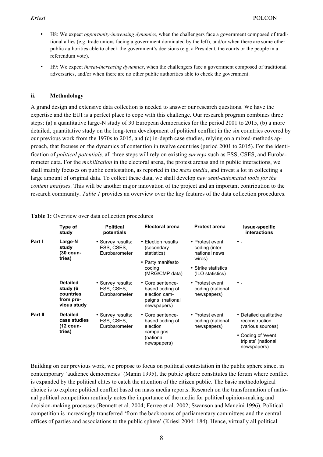- H8: We expect *opportunity-increasing dynamics*, when the challengers face a government composed of traditional allies (e.g. trade unions facing a government dominated by the left), and/or when there are some other public authorities able to check the government's decisions (e.g. a President, the courts or the people in a referendum vote).
- H9: We expect *threat-increasing dynamics*, when the challengers face a government composed of traditional adversaries, and/or when there are no other public authorities able to check the government.

# **ii. Methodology**

A grand design and extensive data collection is needed to answer our research questions. We have the expertise and the EUI is a perfect place to cope with this challenge. Our research program combines three steps: (a) a quantitative large-N study of 30 European democracies for the period 2001 to 2015, (b) a more detailed, quantitative study on the long-term development of political conflict in the six countries covered by our previous work from the 1970s to 2015, and (c) in-depth case studies, relying on a mixed-methods approach, that focuses on the dynamics of contention in twelve countries (period 2001 to 2015). For the identification of *political potentials*, all three steps will rely on existing *surveys* such as ESS, CSES, and Eurobarometer data. For the *mobilization* in the electoral arena, the protest arenas and in public interactions, we shall mainly focuses on public contestation, as reported in the *mass media*, and invest a lot in collecting a large amount of original data. To collect these data, we shall develop *new semi-automated tools for the content analyses*. This will be another major innovation of the project and an important contribution to the research community. *Table 1* provides an overview over the key features of the data collection procedures.

|         | Type of<br>study                                                     | <b>Political</b><br>potentials                   | <b>Electoral arena</b>                                                                           | <b>Protest arena</b>                                                                                    | Issue-specific<br>interactions                                                                                            |
|---------|----------------------------------------------------------------------|--------------------------------------------------|--------------------------------------------------------------------------------------------------|---------------------------------------------------------------------------------------------------------|---------------------------------------------------------------------------------------------------------------------------|
| Part I  | Large-N<br>study<br>(30 coun-<br>tries)                              | • Survey results:<br>ESS, CSES,<br>Eurobarometer | • Election results<br>(secondary<br>statistics)<br>• Party manifesto<br>coding<br>(MRG/CMP data) | • Protest event<br>coding (inter-<br>national news<br>wires)<br>• Strike statistics<br>(ILO statistics) | $\bullet$ $-$                                                                                                             |
|         | <b>Detailed</b><br>study (6<br>countries<br>from pre-<br>vious study | • Survey results:<br>ESS, CSES,<br>Eurobarometer | • Core sentence-<br>based coding of<br>election cam-<br>paigns (national<br>newspapers)          | • Protest event<br>coding (national<br>newspapers)                                                      | . ه                                                                                                                       |
| Part II | <b>Detailed</b><br>case studies<br>(12 coun-<br>tries)               | • Survey results:<br>ESS, CSES,<br>Eurobarometer | • Core sentence-<br>based coding of<br>election<br>campaigns<br>(national<br>newspapers)         | • Protest event<br>coding (national<br>newspapers)                                                      | • Detailed qualitative<br>reconstruction<br>(various sources)<br>• Coding of 'event<br>triplets' (national<br>newspapers) |

**Table 1:** Overview over data collection procedures

Building on our previous work, we propose to focus on political contestation in the public sphere since, in contemporary 'audience democracies' (Manin 1995), the public sphere constitutes the forum where conflict is expanded by the political elites to catch the attention of the citizen public. The basic methodological choice is to explore political conflict based on mass media reports. Research on the transformation of national political competition routinely notes the importance of the media for political opinion-making and decision-making processes (Bennett et al. 2004; Ferree et al. 2002; Swanson and Mancini 1996). Political competition is increasingly transferred 'from the backrooms of parliamentary committees and the central offices of parties and associations to the public sphere' (Kriesi 2004: 184). Hence, virtually all political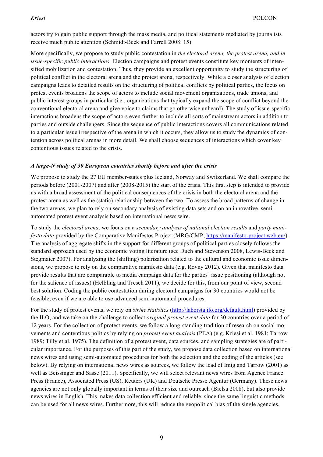actors try to gain public support through the mass media, and political statements mediated by journalists receive much public attention (Schmidt-Beck and Farrell 2008: 15).

More specifically, we propose to study public contestation in *the electoral arena, the protest arena, and in issue-specific public interactions*. Election campaigns and protest events constitute key moments of intensified mobilization and contestation. Thus, they provide an excellent opportunity to study the structuring of political conflict in the electoral arena and the protest arena, respectively. While a closer analysis of election campaigns leads to detailed results on the structuring of political conflicts by political parties, the focus on protest events broadens the scope of actors to include social movement organizations, trade unions, and public interest groups in particular (i.e., organizations that typically expand the scope of conflict beyond the conventional electoral arena and give voice to claims that go otherwise unheard). The study of issue-specific interactions broadens the scope of actors even further to include all sorts of mainstream actors in addition to parties and outside challengers. Since the sequence of public interactions covers all communications related to a particular issue irrespective of the arena in which it occurs, they allow us to study the dynamics of contention across political arenas in more detail. We shall choose sequences of interactions which cover key contentious issues related to the crisis.

# *A large-N study of 30 European countries shortly before and after the crisis*

We propose to study the 27 EU member-states plus Iceland, Norway and Switzerland. We shall compare the periods before (2001-2007) and after (2008-2015) the start of the crisis. This first step is intended to provide us with a broad assessment of the political consequences of the crisis in both the electoral arena and the protest arena as well as the (static) relationship between the two. To assess the broad patterns of change in the two arenas, we plan to rely on secondary analysis of existing data sets and on an innovative, semiautomated protest event analysis based on international news wire.

To study the *electoral arena*, we focus on a *secondary analysis of national election results* and *party manifesto data* provided by the Comparative Manifestos Project (MRG/CMP; https://manifesto-project.wzb.eu/). The analysis of aggregate shifts in the support for different groups of political parties closely follows the standard approach used by the economic voting literature (see Duch and Stevenson 2008, Lewis-Beck and Stegmaier 2007). For analyzing the (shifting) polarization related to the cultural and economic issue dimensions, we propose to rely on the comparative manifesto data (e.g. Rovny 2012). Given that manifesto data provide results that are comparable to media campaign data for the parties' issue positioning (although not for the salience of issues) (Helbling and Tresch 2011), we decide for this, from our point of view, second best solution. Coding the public contestation during electoral campaigns for 30 countries would not be feasible, even if we are able to use advanced semi-automated procedures.

For the study of protest events, we rely on *strike statistics* (http://laborsta.ilo.org/default.html) provided by the ILO, and we take on the challenge to collect *original protest event data* for 30 countries over a period of 12 years. For the collection of protest events, we follow a long-standing tradition of research on social movements and contentious politics by relying on *protest event analysis* (PEA) (e.g. Kriesi et al. 1981; Tarrow 1989; Tilly et al. 1975). The definition of a protest event, data sources, and sampling strategies are of particular importance. For the purposes of this part of the study, we propose data collection based on international news wires and using semi-automated procedures for both the selection and the coding of the articles (see below). By relying on international news wires as sources, we follow the lead of Imig and Tarrow (2001) as well as Beissinger and Sasse (2011). Specifically, we will select relevant news wires from Agence France Press (France), Associated Press (US), Reuters (UK) and Deutsche Presse Agentur (Germany). These news agencies are not only globally important in terms of their size and outreach (Bielsa 2008), but also provide news wires in English. This makes data collection efficient and reliable, since the same linguistic methods can be used for all news wires. Furthermore, this will reduce the geopolitical bias of the single agencies.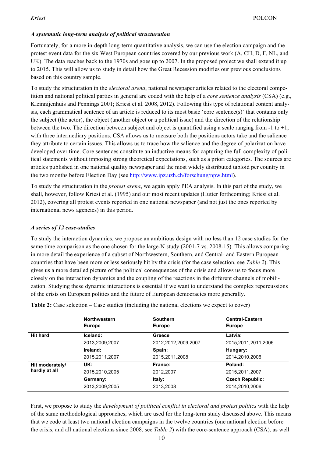# *A systematic long-term analysis of political structuration*

Fortunately, for a more in-depth long-term quantitative analysis, we can use the election campaign and the protest event data for the six West European countries covered by our previous work (A, CH, D, F, NL, and UK). The data reaches back to the 1970s and goes up to 2007. In the proposed project we shall extend it up to 2015. This will allow us to study in detail how the Great Recession modifies our previous conclusions based on this country sample.

To study the structuration in the *electoral arena*, national newspaper articles related to the electoral competition and national political parties in general are coded with the help of a *core sentence analysis* (CSA) (e.g., Kleinnijenhuis and Pennings 2001; Kriesi et al. 2008, 2012). Following this type of relational content analysis, each grammatical sentence of an article is reduced to its most basic 'core sentence(s)' that contains only the subject (the actor), the object (another object or a political issue) and the direction of the relationship between the two. The direction between subject and object is quantified using a scale ranging from  $-1$  to  $+1$ , with three intermediary positions. CSA allows us to measure both the positions actors take and the salience they attribute to certain issues. This allows us to trace how the salience and the degree of polarization have developed over time. Core sentences constitute an inductive means for capturing the full complexity of political statements without imposing strong theoretical expectations, such as a priori categories. The sources are articles published in one national quality newspaper and the most widely distributed tabloid per country in the two months before Election Day (see http://www.ipz.uzh.ch/forschung/npw.html).

To study the structuration in the *protest arena*, we again apply PEA analysis. In this part of the study, we shall, however, follow Kriesi et al. (1995) and our most recent updates (Hutter forthcoming; Kriesi et al. 2012), covering all protest events reported in one national newspaper (and not just the ones reported by international news agencies) in this period.

## *A series of 12 case-studies*

To study the interaction dynamics, we propose an ambitious design with no less than 12 case studies for the same time comparison as the one chosen for the large-N study (2001-7 vs. 2008-15). This allows comparing in more detail the experience of a subset of Northwestern, Southern, and Central- and Eastern European countries that have been more or less seriously hit by the crisis (for the case selection, see *Table 2*). This gives us a more detailed picture of the political consequences of the crisis and allows us to focus more closely on the interaction dynamics and the coupling of the reactions in the different channels of mobilization. Studying these dynamic interactions is essential if we want to understand the complex repercussions of the crisis on European politics and the future of European democracies more generally.

|                 | <b>Northwestern</b><br><b>Europe</b> | <b>Southern</b><br><b>Europe</b> | <b>Central-Eastern</b><br><b>Europe</b> |
|-----------------|--------------------------------------|----------------------------------|-----------------------------------------|
| <b>Hit hard</b> | Iceland:                             | Greece                           | Latvia:                                 |
|                 | 2013,2009,2007                       | 2012, 2012, 2009, 2007           | 2015, 2011, 2011, 2006                  |
|                 | Ireland:                             | Spain:                           | Hungary:                                |
|                 | 2015, 2011, 2007                     | 2015, 2011, 2008                 | 2014.2010.2006                          |
| Hit moderately/ | UK:                                  | France:                          | Poland:                                 |
| hardly at all   | 2015.2010.2005                       | 2012,2007                        | 2015,2011,2007                          |
|                 | Germany:                             | ltaly:                           | <b>Czech Republic:</b>                  |
|                 | 2013,2009,2005                       | 2013,2008                        | 2014,2010,2006                          |

**Table 2:** Case selection – Case studies (including the national elections we expect to cover)

First, we propose to study the *development of political conflict in electoral and protest politics* with the help of the same methodological approaches, which are used for the long-term study discussed above. This means that we code at least two national election campaigns in the twelve countries (one national election before the crisis, and all national elections since 2008, see *Table 2*) with the core-sentence approach (CSA), as well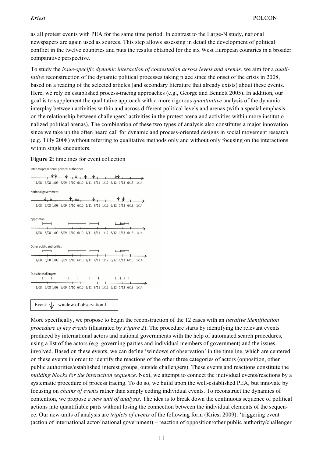as all protest events with PEA for the same time period. In contrast to the Large-N study, national newspapers are again used as sources. This step allows assessing in detail the development of political conflict in the twelve countries and puts the results obtained for the six West European countries in a broader comparative perspective.

To study the *issue-specific dynamic interaction of contestation across levels and arenas,* we aim for a *qualitative* reconstruction of the dynamic political processes taking place since the onset of the crisis in 2008, based on a reading of the selected articles (and secondary literature that already exists) about these events. Here, we rely on established process-tracing approaches (e.g., George and Bennett 2005). In addition, our goal is to supplement the qualitative approach with a more rigorous *quantitative* analysis of the dynamic interplay between activities within and across different political levels and arenas (with a special emphasis on the relationship between challengers' activities in the protest arena and activities within more institutionalized political arenas). The combination of these two types of analysis also constitutes a major innovation since we take up the often heard call for dynamic and process-oriented designs in social movement research (e.g. Tilly 2008) without referring to qualitative methods only and without only focusing on the interactions within single encounters.

### **Figure 2:** timelines for event collection

Inter-/supranational political authorities ᄿV  $+$   $+$   $+$   $+$   $+$   $+$   $+$   $+$  $\overline{\mathsf{w}}$ 1/08 6/08 1/09 6/09 1/10 6/10 1/11 6/11 1/12 6/12 1/13 6/13 1/14 National government . v.v. v.v. v.v. . v. . . v.v. . 1/08 6/08 1/09 6/09 1/10 6/10 1/11 6/11 1/12 6/12 1/13 6/13 1/14 opposition  $\overline{\phantom{0}}$  $\ddot{\phantom{1}}$  $\overline{\phantom{0}}$  $+$  $\overline{1}$ 1/08 6/08 1/09 6/09 1/10 6/10 1/11 6/11 1/12 6/12 1/13 6/13 1/14 Other public authorities  $\vdash$  $\overline{\phantom{0}}$  $\longmapsto$  $L +$ 1/08 6/08 1/09 6/09 1/10 6/10 1/11 6/11 1/12 6/12 1/13 6/13 1/14 Outside challengers  $\overline{a}$  $+$   $+$   $+$  $\overline{1}$   $\overline{1}$  $\vdash$  $\overline{\phantom{0}}$  $\sim$  10  $\pm$ 1/08 6/08 1/09 6/09 1/10 6/10 1/11 6/11 1/12 6/12 1/13 6/13 1/14

Event  $\sqrt{\phantom{a}}$  window of observation I—I

More specifically, we propose to begin the reconstruction of the 12 cases with an *iterative identification procedure of key events* (illustrated by *Figure 2*). The procedure starts by identifying the relevant events produced by international actors and national governments with the help of automated search procedures, using a list of the actors (e.g. governing parties and individual members of government) and the issues involved. Based on these events, we can define 'windows of observation' in the timeline, which are centered on these events in order to identify the reactions of the other three categories of actors (opposition, other public authorities/established interest groups, outside challengers). These events and reactions constitute the *building blocks for the interaction sequence*. Next, we attempt to connect the individual events/reactions by a systematic procedure of process tracing. To do so, we build upon the well-established PEA, but innovate by focusing on *chains of events* rather than simply coding individual events. To reconstruct the dynamics of contention, we propose *a new unit of analysis*. The idea is to break down the continuous sequence of political actions into quantifiable parts without losing the connection between the individual elements of the sequence. Our new units of analysis are *triplets of events* of the following form (Kriesi 2009): 'triggering event (action of international actor/ national government) – reaction of opposition/other public authority/challenger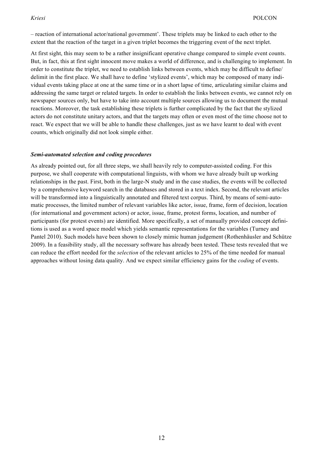– reaction of international actor/national government'. These triplets may be linked to each other to the extent that the reaction of the target in a given triplet becomes the triggering event of the next triplet.

At first sight, this may seem to be a rather insignificant operative change compared to simple event counts. But, in fact, this at first sight innocent move makes a world of difference, and is challenging to implement. In order to constitute the triplet, we need to establish links between events, which may be difficult to define/ delimit in the first place. We shall have to define 'stylized events', which may be composed of many individual events taking place at one at the same time or in a short lapse of time, articulating similar claims and addressing the same target or related targets. In order to establish the links between events, we cannot rely on newspaper sources only, but have to take into account multiple sources allowing us to document the mutual reactions. Moreover, the task establishing these triplets is further complicated by the fact that the stylized actors do not constitute unitary actors, and that the targets may often or even most of the time choose not to react. We expect that we will be able to handle these challenges, just as we have learnt to deal with event counts, which originally did not look simple either.

### *Semi-automated selection and coding procedures*

As already pointed out, for all three steps, we shall heavily rely to computer-assisted coding. For this purpose, we shall cooperate with computational linguists, with whom we have already built up working relationships in the past. First, both in the large-N study and in the case studies, the events will be collected by a comprehensive keyword search in the databases and stored in a text index. Second, the relevant articles will be transformed into a linguistically annotated and filtered text corpus. Third, by means of semi-automatic processes, the limited number of relevant variables like actor, issue, frame, form of decision, location (for international and government actors) or actor, issue, frame, protest forms, location, and number of participants (for protest events) are identified. More specifically, a set of manually provided concept definitions is used as a word space model which yields semantic representations for the variables (Turney and Pantel 2010). Such models have been shown to closely mimic human judgement (Rothenhäusler and Schütze 2009). In a feasibility study, all the necessary software has already been tested. These tests revealed that we can reduce the effort needed for the *selection* of the relevant articles to 25% of the time needed for manual approaches without losing data quality. And we expect similar efficiency gains for the *coding* of events.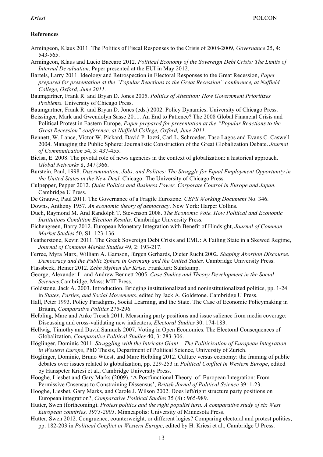# **References**

- Armingeon, Klaus 2011. The Politics of Fiscal Responses to the Crisis of 2008-2009, *Governance* 25, 4: 543-565.
- Armingeon, Klaus and Lucio Baccaro 2012. *Political Economy of the Sovereign Debt Crisis: The Limits of Internal Devaluation*. Paper presented at the EUI in May 2012.
- Bartels, Larry 2011. Ideology and Retrospection in Electoral Responses to the Great Recession, *Paper prepared for presentation at the "Popular Reactions to the Great Recession" conference, at Nuffield College, Oxford, June 2011.*
- Baumgartner, Frank R. and Bryan D. Jones 2005. *Politics of Attention: How Government Prioritizes Problems.* University of Chicago Press.
- Baumgartner, Frank R. and Bryan D. Jones (eds.) 2002. Policy Dynamics. University of Chicago Press.
- Beissinger, Mark and Gwendolyn Sasse 2011. An End to Patience? The 2008 Global Financial Crisis and Political Protest in Eastern Europe, *Paper prepared for presentation at the "Popular Reactions to the Great Recession" conference, at Nuffield College, Oxford, June 2011.*
- Bennett, W. Lance, Victor W. Pickard, David P. Iozzi, Carl L. Schroeder, Taso Lagos and Evans C. Caswell 2004. Managing the Public Sphere: Journalistic Construction of the Great Globalization Debate. *Journal of Communication* 54, 3: 437-455.
- Bielsa, E. 2008. The pivotal role of news agencies in the context of globalization: a historical approach. *Global Networks* 8, 347{366.
- Burstein, Paul, 1998. *Discrimination, Jobs, and Politics: The Struggle for Equal Employment Opportunity in the United States in the New Deal*. Chicago: The University of Chicago Press.
- Culpepper, Pepper 2012. *Quiet Politics and Business Power. Corporate Control in Europe and Japan.* Cambridge U Press.
- De Grauwe, Paul 2011. The Governance of a Fragile Eurozone. *CEPS Working Document* No. 346.
- Downs, Anthony 1957. *An economic theory of democracy*. New York: Harper Collins.
- Duch, Raymond M. And Randolph T. Stevenson 2008. *The Economic Vote. How Political and Economic Institutions Condition Election Results.* Cambridge University Press.
- Eichengreen, Barry 2012. European Monetary Integration with Benefit of Hindsight, *Journal of Common Market Studies* 50, S1: 123-136.
- Featherstone, Kevin 2011. The Greek Sovereign Debt Crisis and EMU: A Failing State in a Skewed Regime, *Journal of Common Market Studies* 49, 2: 193-217.
- Ferree, Myra Marx, William A. Gamson, Jürgen Gerhards, Dieter Rucht 2002. *Shaping Abortion Discourse. Democracy and the Public Sphere in Germany and the United States*. Cambridge University Press.
- Flassbeck, Heiner 2012. *Zehn Mythen der Krise.* Frankfurt: Suhrkamp.
- George, Alexander L. and Andrew Bennett 2005. *Case Studies and Theory Development in the Social Sciences*.Cambridge, Mass: MIT Press.
- Goldstone, Jack A. 2003. Introduction. Bridging institutionalized and noninstitutionalized politics, pp. 1-24 in *States, Parties, and Social Movements*, edited by Jack A. Goldstone. Cambridge U Press.
- Hall, Peter 1993. Policy Paradigms, Social Learning, and the State. The Case of Economic Policymaking in Britain, *Comparative Politics* 275-296.
- Helbling, Marc and Anke Tresch 2011. Measuring party positions and issue salience from media coverage: Discussing and cross-validating new indicators, *Electoral Studies* 30: 174-183.
- Hellwig, Timothy and David Samuels 2007. Voting in Open Economies. The Electoral Consequences of Globalization, *Comparative Political Studies* 40, 3: 283-306.
- Höglinger, Dominic 2011. *Struggling with the Intricate Giant – The Politicization of European Integration in Western Europe*, PhD Thesis, Department of Political Science, University of Zurich.
- Höglinger, Dominic, Bruno Wüest, and Marc Helbling 2012. Culture versus economy: the framing of public debates over issues related to globalization, pp. 229-253 in *Political Conflict in Western Europe*, edited by Hanspeter Kriesi et al., Cambridge University Press.
- Hooghe, Liesbet and Gary Marks (2009). 'A Postfunctional Theory of European Integration: From Permissive Cnsensus to Constraining Dissensus', *British Jornal of Political Science* 39: 1-23.
- Hooghe, Liesbet, Gary Marks, and Carole J. Wilson 2002. Does left/right structure party positions on European integration?, *Comparative Political Studies* 35 (8) : 965-989.
- Hutter, Swen (forthcoming). *Protest politics and the right populist turn. A comparative study of six West European countries, 1975-2005*. Minneapolis: University of Minnesota Press.
- Hutter, Swen 2012. Congruence, counterweight, or different logics? Comparing electoral and protest politics, pp. 182-203 in *Political Conflict in Western Europe*, edited by H. Kriesi et al., Cambridge U Press.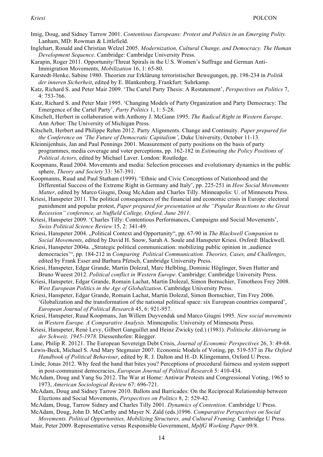- Imig, Doug, and Sidney Tarrow 2001. *Contentious Europeans: Protest and Politics in an Emerging Polity.* Lanham, MD: Rowman & Littlefield.
- Inglehart, Ronald and Christian Welzel 2005. *Modernization, Cultural Change, and Democracy. The Human Development Sequence*. Cambridge: Cambridge University Press.
- Karapin, Roger 2011. Opportunity/Threat Spirals in the U.S. Women's Suffrage and German Anti-Immigration Movements, *Mobilization* 16, 1: 65-80.
- Karstedt-Henke, Sabine 1980. Theorien zur Erklärung terroristischer Bewegungen, pp. 198-234 in *Politik der inneren Sicherheit*, edited by E. Blankenberg. Frankfurt: Suhrkamp.
- Katz, Richard S. and Peter Mair 2009. 'The Cartel Party Thesis: A Restatement', *Perspectives on Politics* 7, 4: 753-766.
- Katz, Richard S. and Peter Mair 1995. 'Changing Models of Party Organization and Party Democracy: The Emergence of the Cartel Party', *Party Politics* 1, 1: 5-28.
- Kitschelt, Herbert in collaboration with Anthony J. McGann 1995. *The Radical Right in Western Europe*. Ann Arbor: The University of Michigan Press.
- Kitschelt, Herbert and Philippe Rehm 2012. Party Alignments. Change and Continuity. *Paper prepared for the Conference on 'The Future of Democratic Capitalism'*, Duke University, October 11-13.
- Kleinnijenhuis, Jan and Paul Pennings 2001. Measurement of party positions on the basis of party programmes, media coverage and voter perceptions, pp. 162-182 in *Estimating the Policy Positions of Political Actors*, edited by Michael Laver. London: Routledge.
- Koopmans, Ruud 2004. Movements and media: Selection processes and evolutionary dynamics in the public sphere, *Theory and Society* 33: 367-391.
- Koopmanns, Ruud and Paul Statham (1999). 'Ethnic and Civic Conceptions of Nationhood and the Differential Success of the Extreme Right in Germany and Italy', pp. 225-251 in *How Social Movements Matter*, edited by Marco Giugni, Doug McAdam and Charles Tilly. Minneapolis: U. of Minnesota Press.
- Kriesi, Hanspeter 2011. The political consequences of the financial and economic crisis in Europe: electoral punishment and popular protest, *Paper prepared for presentation at the "Popular Reactions to the Great Recession" conference, at Nuffield College, Oxford, June 2011.*
- Kriesi, Hanspeter 2009. 'Charles Tilly: Contentious Performances, Campaigns and Social Movements', *Swiss Political Science Review* 15, 2: 341-49.
- Kriesi, Hanspeter 2004. "Political Context and Opportunity", pp. 67-90 in *The Blackwell Companion to Social Movements*, edited by David H. Snow, Sarah A. Soule and Hanspeter Kriesi. Oxford: Blackwell.
- Kriesi, Hanspeter 2004a. "Strategic political communication: mobilizing public opinion in ,audience democracies'", pp. 184-212 in *Comparing Political Communication. Theories, Cases, and Challenges*, edited by Frank Esser and Barbara Pfetsch, Cambridge University Press.
- Kriesi, Hanspeter, Edgar Grande, Martin Dolezal, Marc Helbling, Dominic Höglinger, Swen Hutter and Bruno Wueest 2012. *Political conflict in Western Europe*. Cambridge: Cambridge University Press.
- Kriesi, Hanspeter, Edgar Grande, Romain Lachat, Martin Dolezal, Simon Bornschier, Timotheos Frey 2008. *West European Politics in the Age of Globalization*. Cambridge University Press.
- Kriesi, Hanspeter, Edgar Grande, Romain Lachat, Martin Dolezal, Simon Bornschier, Tim Frey 2006. 'Globalization and the transformation of the national political space: six European countries compared', *European Journal of Political Research* 45, 6: 921-957.

Kriesi, Hanspeter, Ruud Koopmans, Jan Willem Duyvendak und Marco Giugni 1995. *New social movements in Western Europe. A Comparative Analysis.* Minneapolis: University of Minnesota Press.

- Kriesi, Hanspeter, René Levy, Gilbert Ganguillet and Heinz Zwicky (ed.) (1981). *Politische Aktivierung in der Schweiz. 1945-1978*. Diessenhofen: Rüegger.
- Lane, Philip R. 20121. The European Sovereign Debt Crisis, *Journal of Economic Perspectives* 26, 3: 49-68.
- Lewis-Beck, Michael S. And Mary Stegmaier 2007. Economic Models of Voting, pp. 519-537 in *The Oxford Handbook of Political Behaviour*, edited by R. J. Dalton and H.-D. Klingemann, Oxford U Press.
- Linde, Jonas 2012. Why feed the hand that bites you? Perceptions of procedural fairness and system support in post-communist democracies, *European Journal of Political Research* 5: 410-434.
- McAdam, Doug and Yang Su 2012. The War at Home: Antiwar Protests and Congressional Voting, 1965 to 1973, *American Sociological Review* 67: 696-721.
- McAdam, Doug and Sidney Tarrow 2010. Ballots and Barricades: On the Reciprocal Relationship between Elections and Social Movements, *Perspectives on Politics* 8, 2: 529-42.
- McAdam, Doug, Tarrow Sidney and Charles Tilly 2001. *Dynamics of Contention*. Cambridge U Press.
- McAdam, Doug, John D. McCarthy and Mayer N. Zald (eds.)1996. *Comparative Perspectives on Social*
- *Movements. Political Opportunities, Mobilizing Structures, and Cultural Framing*. Cambridge U Press. Mair, Peter 2009. Representative versus Responsible Government, *MplfG Working Paper* 09/8.